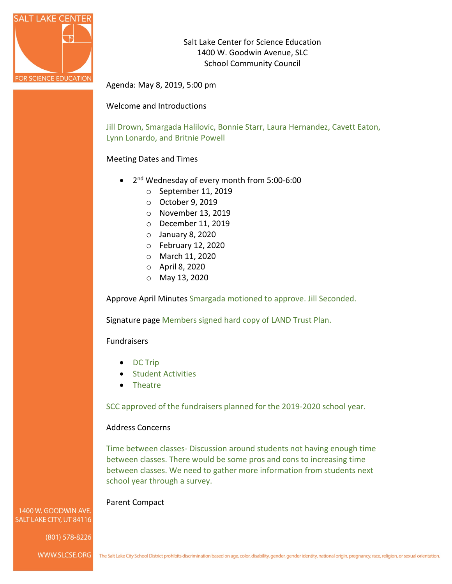

Salt Lake Center for Science Education 1400 W. Goodwin Avenue, SLC School Community Council

Agenda: May 8, 2019, 5:00 pm

Welcome and Introductions

Jill Drown, Smargada Halilovic, Bonnie Starr, Laura Hernandez, Cavett Eaton, Lynn Lonardo, and Britnie Powell

### Meeting Dates and Times

- 2<sup>nd</sup> Wednesday of every month from 5:00-6:00
	- o September 11, 2019
	- o October 9, 2019
	- o November 13, 2019
	- o December 11, 2019
	- $\circ$  January 8, 2020
	- o February 12, 2020
	- o March 11, 2020
	- o April 8, 2020
	- o May 13, 2020

Approve April Minutes Smargada motioned to approve. Jill Seconded.

Signature page Members signed hard copy of LAND Trust Plan.

### Fundraisers

- DC Trip
- Student Activities
- Theatre

SCC approved of the fundraisers planned for the 2019-2020 school year.

### Address Concerns

Time between classes- Discussion around students not having enough time between classes. There would be some pros and cons to increasing time between classes. We need to gather more information from students next school year through a survey.

#### Parent Compact

1400 W. GOODWIN AVE SALT LAKE CITY, UT 84116

 $(801)$  578-8226